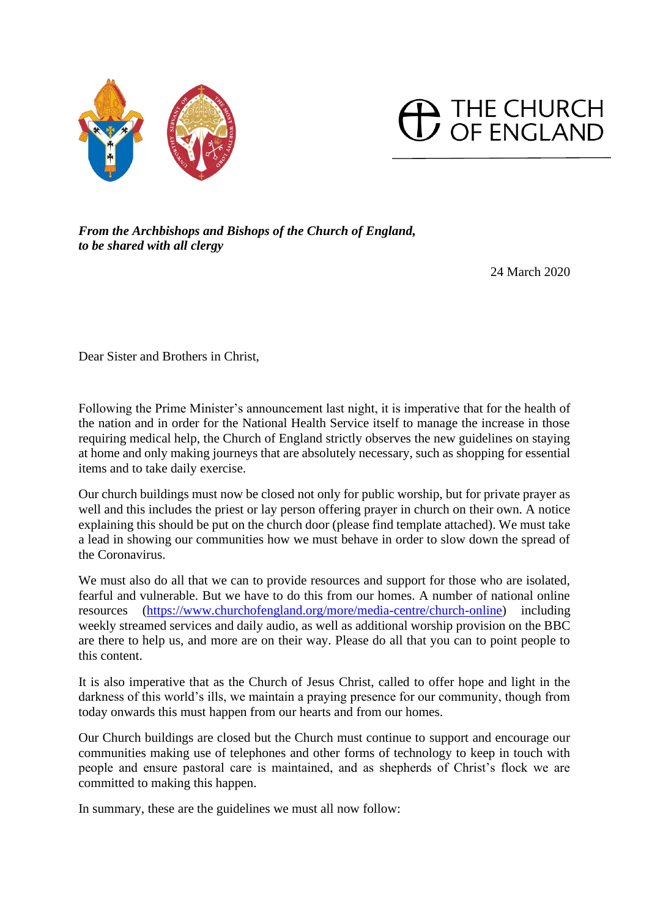



*From the Archbishops and Bishops of the Church of England, to be shared with all clergy*

24 March 2020

Dear Sister and Brothers in Christ,

Following the Prime Minister's announcement last night, it is imperative that for the health of the nation and in order for the National Health Service itself to manage the increase in those requiring medical help, the Church of England strictly observes the new guidelines on staying at home and only making journeys that are absolutely necessary, such as shopping for essential items and to take daily exercise.

Our church buildings must now be closed not only for public worship, but for private prayer as well and this includes the priest or lay person offering prayer in church on their own. A notice explaining this should be put on the church door (please find template attached). We must take a lead in showing our communities how we must behave in order to slow down the spread of the Coronavirus.

We must also do all that we can to provide resources and support for those who are isolated, fearful and vulnerable. But we have to do this from our homes. A number of national online resources [\(https://www.churchofengland.org/more/media-centre/church-online\)](https://www.churchofengland.org/more/media-centre/church-online) including weekly streamed services and daily audio, as well as additional worship provision on the BBC are there to help us, and more are on their way. Please do all that you can to point people to this content.

It is also imperative that as the Church of Jesus Christ, called to offer hope and light in the darkness of this world's ills, we maintain a praying presence for our community, though from today onwards this must happen from our hearts and from our homes.

Our Church buildings are closed but the Church must continue to support and encourage our communities making use of telephones and other forms of technology to keep in touch with people and ensure pastoral care is maintained, and as shepherds of Christ's flock we are committed to making this happen.

In summary, these are the guidelines we must all now follow: